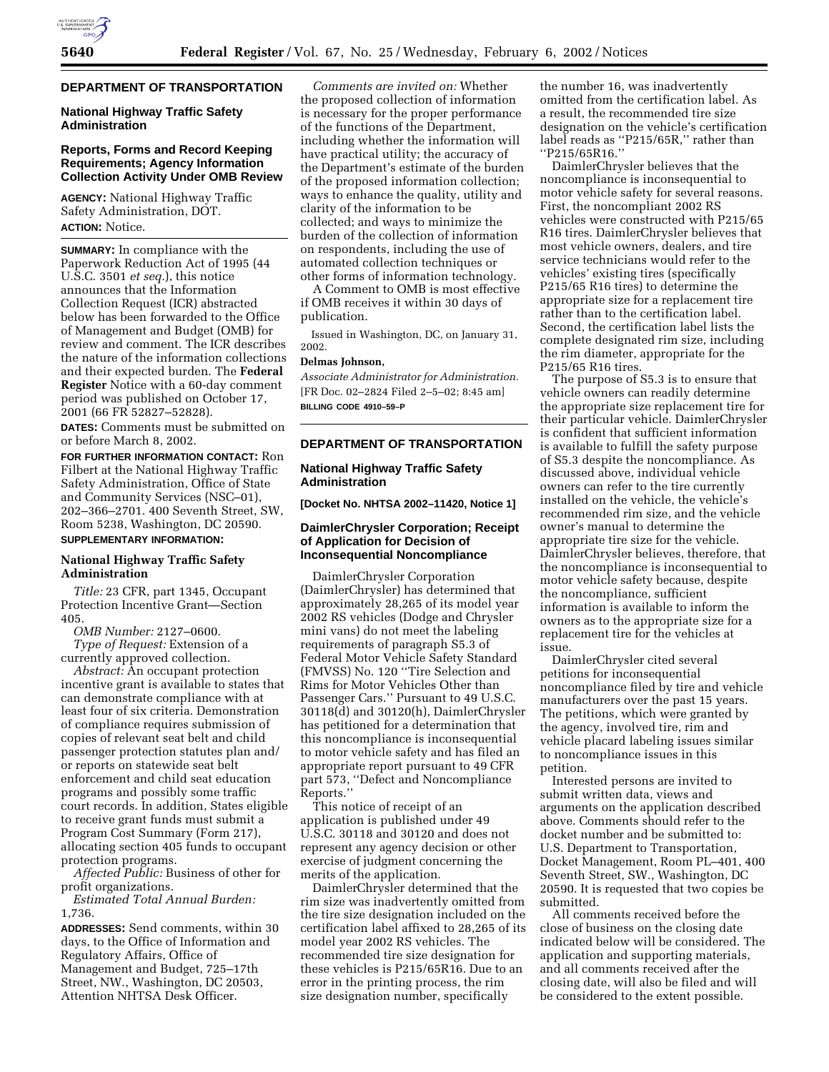## **DEPARTMENT OF TRANSPORTATION**

## **National Highway Traffic Safety Administration**

# **Reports, Forms and Record Keeping Requirements; Agency Information Collection Activity Under OMB Review**

**AGENCY:** National Highway Traffic Safety Administration, DOT. **ACTION:** Notice.

**SUMMARY:** In compliance with the Paperwork Reduction Act of 1995 (44 U.S.C. 3501 *et seq.*), this notice announces that the Information Collection Request (ICR) abstracted below has been forwarded to the Office of Management and Budget (OMB) for review and comment. The ICR describes the nature of the information collections and their expected burden. The **Federal Register** Notice with a 60-day comment period was published on October 17, 2001 (66 FR 52827–52828).

**DATES:** Comments must be submitted on or before March 8, 2002.

**FOR FURTHER INFORMATION CONTACT:** Ron Filbert at the National Highway Traffic Safety Administration, Office of State and Community Services (NSC–01), 202–366–2701. 400 Seventh Street, SW, Room 5238, Washington, DC 20590.

#### **SUPPLEMENTARY INFORMATION:**

### **National Highway Traffic Safety Administration**

*Title:* 23 CFR, part 1345, Occupant Protection Incentive Grant—Section 405.

*OMB Number:* 2127–0600. *Type of Request:* Extension of a currently approved collection.

*Abstract:* An occupant protection incentive grant is available to states that can demonstrate compliance with at least four of six criteria. Demonstration of compliance requires submission of copies of relevant seat belt and child passenger protection statutes plan and/ or reports on statewide seat belt enforcement and child seat education programs and possibly some traffic court records. In addition, States eligible to receive grant funds must submit a Program Cost Summary (Form 217), allocating section 405 funds to occupant protection programs.

*Affected Public:* Business of other for profit organizations.

*Estimated Total Annual Burden:* 1,736.

**ADDRESSES:** Send comments, within 30 days, to the Office of Information and Regulatory Affairs, Office of Management and Budget, 725–17th Street, NW., Washington, DC 20503, Attention NHTSA Desk Officer.

*Comments are invited on:* Whether the proposed collection of information is necessary for the proper performance of the functions of the Department, including whether the information will have practical utility; the accuracy of the Department's estimate of the burden of the proposed information collection; ways to enhance the quality, utility and clarity of the information to be collected; and ways to minimize the burden of the collection of information on respondents, including the use of automated collection techniques or other forms of information technology.

A Comment to OMB is most effective if OMB receives it within 30 days of publication.

Issued in Washington, DC, on January 31, 2002.

# **Delmas Johnson,**

*Associate Administrator for Administration.* [FR Doc. 02–2824 Filed 2–5–02; 8:45 am] **BILLING CODE 4910–59–P**

### **DEPARTMENT OF TRANSPORTATION**

## **National Highway Traffic Safety Administration**

**[Docket No. NHTSA 2002–11420, Notice 1]**

### **DaimlerChrysler Corporation; Receipt of Application for Decision of Inconsequential Noncompliance**

DaimlerChrysler Corporation (DaimlerChrysler) has determined that approximately 28,265 of its model year 2002 RS vehicles (Dodge and Chrysler mini vans) do not meet the labeling requirements of paragraph S5.3 of Federal Motor Vehicle Safety Standard (FMVSS) No. 120 ''Tire Selection and Rims for Motor Vehicles Other than Passenger Cars.'' Pursuant to 49 U.S.C. 30118(d) and 30120(h), DaimlerChrysler has petitioned for a determination that this noncompliance is inconsequential to motor vehicle safety and has filed an appropriate report pursuant to 49 CFR part 573, ''Defect and Noncompliance Reports.''

This notice of receipt of an application is published under 49 U.S.C. 30118 and 30120 and does not represent any agency decision or other exercise of judgment concerning the merits of the application.

DaimlerChrysler determined that the rim size was inadvertently omitted from the tire size designation included on the certification label affixed to 28,265 of its model year 2002 RS vehicles. The recommended tire size designation for these vehicles is P215/65R16. Due to an error in the printing process, the rim size designation number, specifically

the number 16, was inadvertently omitted from the certification label. As a result, the recommended tire size designation on the vehicle's certification label reads as ''P215/65R,'' rather than ''P215/65R16.''

DaimlerChrysler believes that the noncompliance is inconsequential to motor vehicle safety for several reasons. First, the noncompliant 2002 RS vehicles were constructed with P215/65 R16 tires. DaimlerChrysler believes that most vehicle owners, dealers, and tire service technicians would refer to the vehicles' existing tires (specifically P215/65 R16 tires) to determine the appropriate size for a replacement tire rather than to the certification label. Second, the certification label lists the complete designated rim size, including the rim diameter, appropriate for the P215/65 R16 tires.

The purpose of S5.3 is to ensure that vehicle owners can readily determine the appropriate size replacement tire for their particular vehicle. DaimlerChrysler is confident that sufficient information is available to fulfill the safety purpose of S5.3 despite the noncompliance. As discussed above, individual vehicle owners can refer to the tire currently installed on the vehicle, the vehicle's recommended rim size, and the vehicle owner's manual to determine the appropriate tire size for the vehicle. DaimlerChrysler believes, therefore, that the noncompliance is inconsequential to motor vehicle safety because, despite the noncompliance, sufficient information is available to inform the owners as to the appropriate size for a replacement tire for the vehicles at issue.

DaimlerChrysler cited several petitions for inconsequential noncompliance filed by tire and vehicle manufacturers over the past 15 years. The petitions, which were granted by the agency, involved tire, rim and vehicle placard labeling issues similar to noncompliance issues in this petition.

Interested persons are invited to submit written data, views and arguments on the application described above. Comments should refer to the docket number and be submitted to: U.S. Department to Transportation, Docket Management, Room PL–401, 400 Seventh Street, SW., Washington, DC 20590. It is requested that two copies be submitted.

All comments received before the close of business on the closing date indicated below will be considered. The application and supporting materials, and all comments received after the closing date, will also be filed and will be considered to the extent possible.